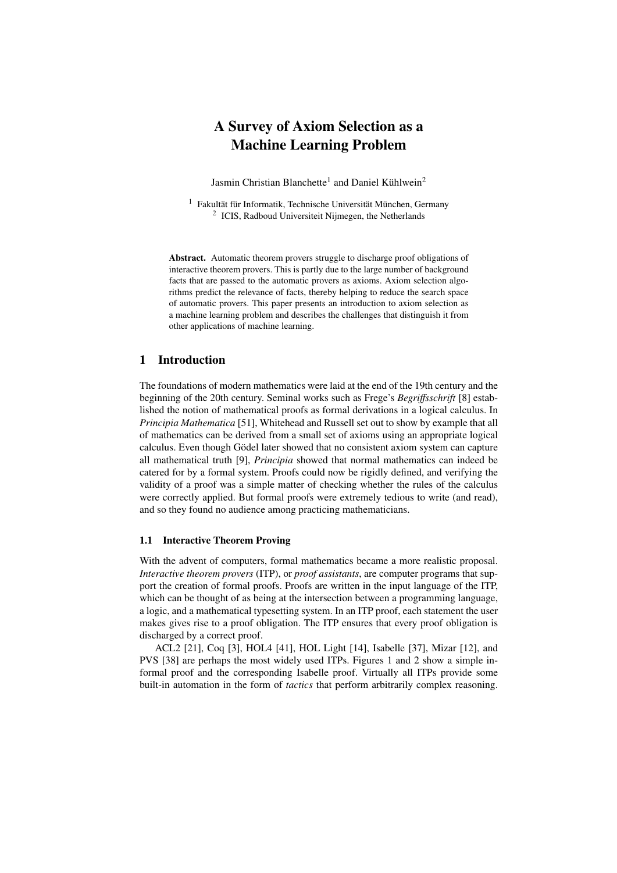# A Survey of Axiom Selection as a Machine Learning Problem

Jasmin Christian Blanchette<sup>1</sup> and Daniel Kühlwein<sup>2</sup>

<sup>1</sup> Fakultät für Informatik, Technische Universität München, Germany <sup>2</sup> ICIS, Radboud Universiteit Nijmegen, the Netherlands

Abstract. Automatic theorem provers struggle to discharge proof obligations of interactive theorem provers. This is partly due to the large number of background facts that are passed to the automatic provers as axioms. Axiom selection algorithms predict the relevance of facts, thereby helping to reduce the search space of automatic provers. This paper presents an introduction to axiom selection as a machine learning problem and describes the challenges that distinguish it from other applications of machine learning.

# 1 Introduction

The foundations of modern mathematics were laid at the end of the 19th century and the beginning of the 20th century. Seminal works such as Frege's *Begri*ff*sschrift* [\[8\]](#page-12-0) established the notion of mathematical proofs as formal derivations in a logical calculus. In *Principia Mathematica* [\[51\]](#page-14-0), Whitehead and Russell set out to show by example that all of mathematics can be derived from a small set of axioms using an appropriate logical calculus. Even though Gödel later showed that no consistent axiom system can capture all mathematical truth [\[9\]](#page-12-1), *Principia* showed that normal mathematics can indeed be catered for by a formal system. Proofs could now be rigidly defined, and verifying the validity of a proof was a simple matter of checking whether the rules of the calculus were correctly applied. But formal proofs were extremely tedious to write (and read), and so they found no audience among practicing mathematicians.

#### 1.1 Interactive Theorem Proving

With the advent of computers, formal mathematics became a more realistic proposal. *Interactive theorem provers* (ITP), or *proof assistants*, are computer programs that support the creation of formal proofs. Proofs are written in the input language of the ITP, which can be thought of as being at the intersection between a programming language, a logic, and a mathematical typesetting system. In an ITP proof, each statement the user makes gives rise to a proof obligation. The ITP ensures that every proof obligation is discharged by a correct proof.

ACL2 [\[21\]](#page-13-0), Coq [\[3\]](#page-12-2), HOL4 [\[41\]](#page-14-1), HOL Light [\[14\]](#page-12-3), Isabelle [\[37\]](#page-13-1), Mizar [\[12\]](#page-12-4), and PVS [\[38\]](#page-13-2) are perhaps the most widely used ITPs. Figures [1](#page-1-0) and [2](#page-2-0) show a simple informal proof and the corresponding Isabelle proof. Virtually all ITPs provide some built-in automation in the form of *tactics* that perform arbitrarily complex reasoning.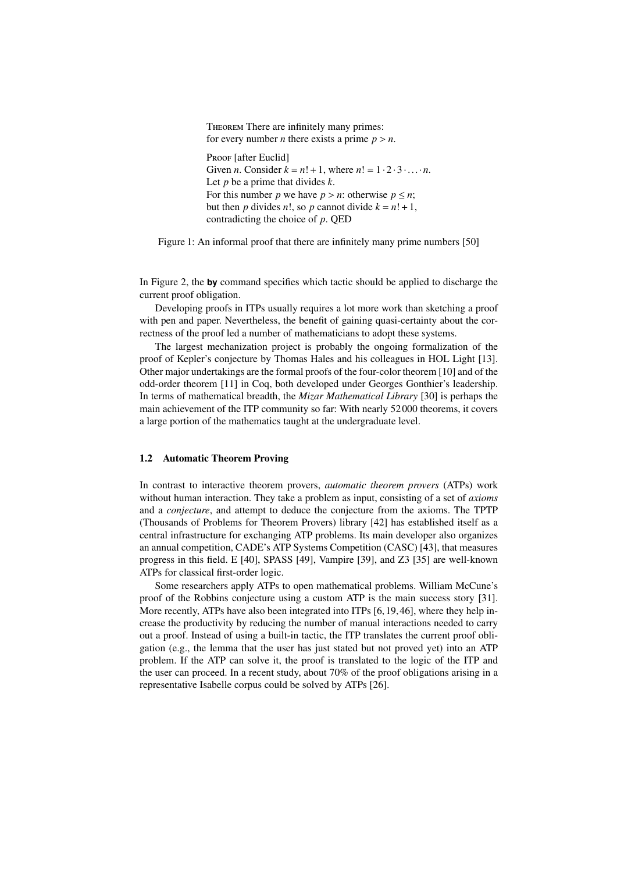<span id="page-1-0"></span>Theorem There are infinitely many primes: for every number *n* there exists a prime  $p > n$ . PROOF [after Euclid] Given *n*. Consider  $k = n! + 1$ , where  $n! = 1 \cdot 2 \cdot 3 \cdot ... \cdot n$ . Let *p* be a prime that divides *k*. For this number *p* we have  $p > n$ : otherwise  $p \leq n$ ; but then *p* divides *n*!, so *p* cannot divide  $k = n! + 1$ , contradicting the choice of *p*. QED

Figure 1: An informal proof that there are infinitely many prime numbers [\[50\]](#page-14-2)

In Figure [2,](#page-2-0) the **by** command specifies which tactic should be applied to discharge the current proof obligation.

Developing proofs in ITPs usually requires a lot more work than sketching a proof with pen and paper. Nevertheless, the benefit of gaining quasi-certainty about the correctness of the proof led a number of mathematicians to adopt these systems.

The largest mechanization project is probably the ongoing formalization of the proof of Kepler's conjecture by Thomas Hales and his colleagues in HOL Light [\[13\]](#page-12-5). Other major undertakings are the formal proofs of the four-color theorem [\[10\]](#page-12-6) and of the odd-order theorem [\[11\]](#page-12-7) in Coq, both developed under Georges Gonthier's leadership. In terms of mathematical breadth, the *Mizar Mathematical Library* [\[30\]](#page-13-3) is perhaps the main achievement of the ITP community so far: With nearly 52 000 theorems, it covers a large portion of the mathematics taught at the undergraduate level.

#### 1.2 Automatic Theorem Proving

In contrast to interactive theorem provers, *automatic theorem provers* (ATPs) work without human interaction. They take a problem as input, consisting of a set of *axioms* and a *conjecture*, and attempt to deduce the conjecture from the axioms. The TPTP (Thousands of Problems for Theorem Provers) library [\[42\]](#page-14-3) has established itself as a central infrastructure for exchanging ATP problems. Its main developer also organizes an annual competition, CADE's ATP Systems Competition (CASC) [\[43\]](#page-14-4), that measures progress in this field. E [\[40\]](#page-14-5), SPASS [\[49\]](#page-14-6), Vampire [\[39\]](#page-14-7), and Z3 [\[35\]](#page-13-4) are well-known ATPs for classical first-order logic.

Some researchers apply ATPs to open mathematical problems. William McCune's proof of the Robbins conjecture using a custom ATP is the main success story [\[31\]](#page-13-5). More recently, ATPs have also been integrated into ITPs [\[6,](#page-12-8) [19,](#page-13-6) [46\]](#page-14-8), where they help increase the productivity by reducing the number of manual interactions needed to carry out a proof. Instead of using a built-in tactic, the ITP translates the current proof obligation (e.g., the lemma that the user has just stated but not proved yet) into an ATP problem. If the ATP can solve it, the proof is translated to the logic of the ITP and the user can proceed. In a recent study, about 70% of the proof obligations arising in a representative Isabelle corpus could be solved by ATPs [\[26\]](#page-13-7).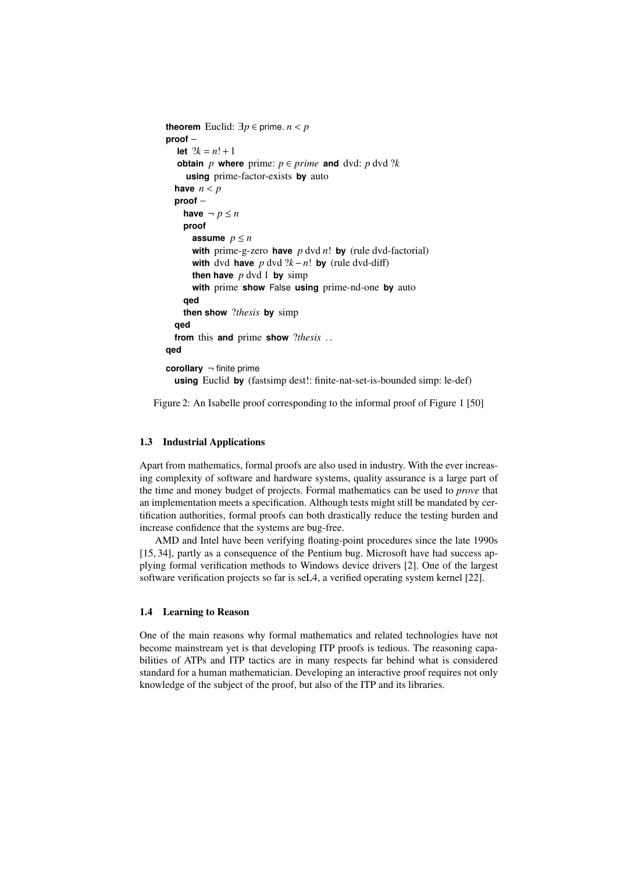```
theorem Euclid: ∃p ∈ prime. n < pproof −
  let ?k = n! + 1obtain p where prime: p \in prime and dvd: p dvd ?k
    using prime-factor-exists by auto
  have n < pproof −
    have \neg p \leq nproof
      assume p \leq nwith prime-g-zero have p dvd n! by (rule dvd-factorial)
      with dvd have p \text{ dvd } ?k - n! by (rule dvd-diff)
      then have p \, \text{dvd} \, 1 by simp
      with prime show False using prime-nd-one by auto
    qed
    then show ?thesis by simp
  qed
  from this and prime show ?thesis . .
qed
corollary ¬ finite prime
  using Euclid by (fastsimp dest!: finite-nat-set-is-bounded simp: le-def)
```
Figure 2: An Isabelle proof corresponding to the informal proof of Figure [1](#page-1-0) [\[50\]](#page-14-2)

# 1.3 Industrial Applications

Apart from mathematics, formal proofs are also used in industry. With the ever increasing complexity of software and hardware systems, quality assurance is a large part of the time and money budget of projects. Formal mathematics can be used to *prove* that an implementation meets a specification. Although tests might still be mandated by certification authorities, formal proofs can both drastically reduce the testing burden and increase confidence that the systems are bug-free.

AMD and Intel have been verifying floating-point procedures since the late 1990s [\[15,](#page-12-9) [34\]](#page-13-8), partly as a consequence of the Pentium bug. Microsoft have had success applying formal verification methods to Windows device drivers [\[2\]](#page-12-10). One of the largest software verification projects so far is seL4, a verified operating system kernel [\[22\]](#page-13-9).

#### 1.4 Learning to Reason

One of the main reasons why formal mathematics and related technologies have not become mainstream yet is that developing ITP proofs is tedious. The reasoning capabilities of ATPs and ITP tactics are in many respects far behind what is considered standard for a human mathematician. Developing an interactive proof requires not only knowledge of the subject of the proof, but also of the ITP and its libraries.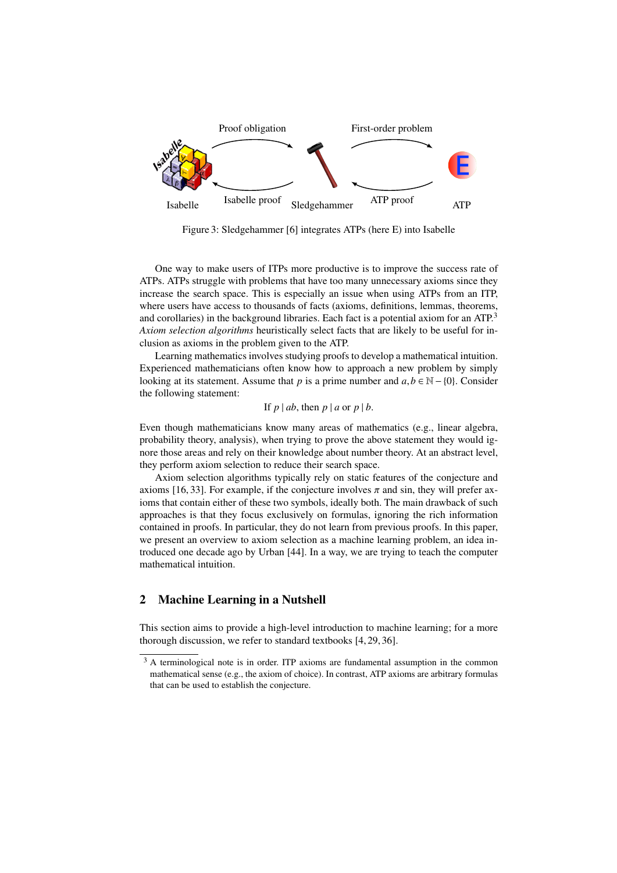

Figure 3: Sledgehammer [\[6\]](#page-12-8) integrates ATPs (here E) into Isabelle

One way to make users of ITPs more productive is to improve the success rate of ATPs. ATPs struggle with problems that have too many unnecessary axioms since they increase the search space. This is especially an issue when using ATPs from an ITP, where users have access to thousands of facts (axioms, definitions, lemmas, theorems, and corollaries) in the background libraries. Each fact is a potential axiom for an ATP.<sup>[3](#page-3-0)</sup> *Axiom selection algorithms* heuristically select facts that are likely to be useful for inclusion as axioms in the problem given to the ATP.

Learning mathematics involves studying proofs to develop a mathematical intuition. Experienced mathematicians often know how to approach a new problem by simply looking at its statement. Assume that *p* is a prime number and  $a, b \in \mathbb{N} - \{0\}$ . Consider the following statement:

If 
$$
p \mid ab
$$
, then  $p \mid a$  or  $p \mid b$ .

Even though mathematicians know many areas of mathematics (e.g., linear algebra, probability theory, analysis), when trying to prove the above statement they would ignore those areas and rely on their knowledge about number theory. At an abstract level, they perform axiom selection to reduce their search space.

Axiom selection algorithms typically rely on static features of the conjecture and axioms [\[16,](#page-12-11) [33\]](#page-13-10). For example, if the conjecture involves  $\pi$  and sin, they will prefer axioms that contain either of these two symbols, ideally both. The main drawback of such approaches is that they focus exclusively on formulas, ignoring the rich information contained in proofs. In particular, they do not learn from previous proofs. In this paper, we present an overview to axiom selection as a machine learning problem, an idea introduced one decade ago by Urban [\[44\]](#page-14-9). In a way, we are trying to teach the computer mathematical intuition.

# 2 Machine Learning in a Nutshell

This section aims to provide a high-level introduction to machine learning; for a more thorough discussion, we refer to standard textbooks [\[4,](#page-12-12) [29,](#page-13-11) [36\]](#page-13-12).

<span id="page-3-0"></span><sup>&</sup>lt;sup>3</sup> A terminological note is in order. ITP axioms are fundamental assumption in the common mathematical sense (e.g., the axiom of choice). In contrast, ATP axioms are arbitrary formulas that can be used to establish the conjecture.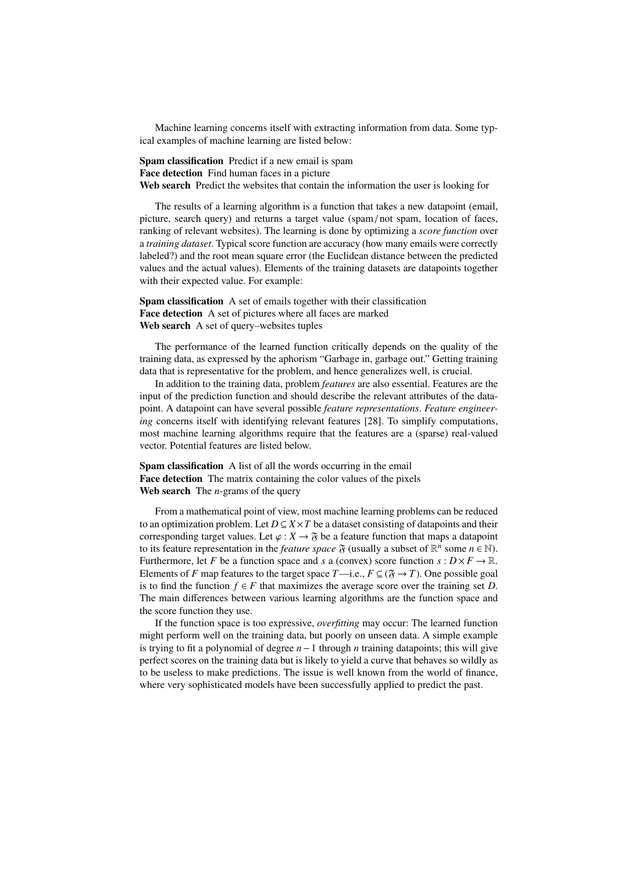Machine learning concerns itself with extracting information from data. Some typical examples of machine learning are listed below:

Spam classification Predict if a new email is spam Face detection Find human faces in a picture Web search Predict the websites that contain the information the user is looking for

The results of a learning algorithm is a function that takes a new datapoint (email, picture, search query) and returns a target value (spam / not spam, location of faces, ranking of relevant websites). The learning is done by optimizing a *score function* over a *training dataset*. Typical score function are accuracy (how many emails were correctly labeled?) and the root mean square error (the Euclidean distance between the predicted values and the actual values). Elements of the training datasets are datapoints together with their expected value. For example:

Spam classification A set of emails together with their classification Face detection A set of pictures where all faces are marked Web search A set of query–websites tuples

The performance of the learned function critically depends on the quality of the training data, as expressed by the aphorism "Garbage in, garbage out." Getting training data that is representative for the problem, and hence generalizes well, is crucial.

In addition to the training data, problem *features* are also essential. Features are the input of the prediction function and should describe the relevant attributes of the datapoint. A datapoint can have several possible *feature representations*. *Feature engineering* concerns itself with identifying relevant features [\[28\]](#page-13-13). To simplify computations, most machine learning algorithms require that the features are a (sparse) real-valued vector. Potential features are listed below.

Spam classification A list of all the words occurring in the email Face detection The matrix containing the color values of the pixels Web search The *n*-grams of the query

From a mathematical point of view, most machine learning problems can be reduced to an optimization problem. Let  $D \subseteq X \times T$  be a dataset consisting of datapoints and their corresponding target values. Let  $\varphi : X \to \mathfrak{F}$  be a feature function that maps a datapoint to its feature representation in the *feature space*  $\mathfrak{F}$  (usually a subset of  $\mathbb{R}^n$  some  $n \in \mathbb{N}$ ). Furthermore, let *F* be a function space and *s* a (convex) score function  $s: D \times F \to \mathbb{R}$ . Elements of *F* map features to the target space *T*—i.e.,  $F \subseteq (\mathfrak{F} \to T)$ . One possible goal is to find the function  $f \in F$  that maximizes the average score over the training set *D*. The main differences between various learning algorithms are the function space and the score function they use.

If the function space is too expressive, *overfitting* may occur: The learned function might perform well on the training data, but poorly on unseen data. A simple example is trying to fit a polynomial of degree *n*−1 through *n* training datapoints; this will give perfect scores on the training data but is likely to yield a curve that behaves so wildly as to be useless to make predictions. The issue is well known from the world of finance, where very sophisticated models have been successfully applied to predict the past.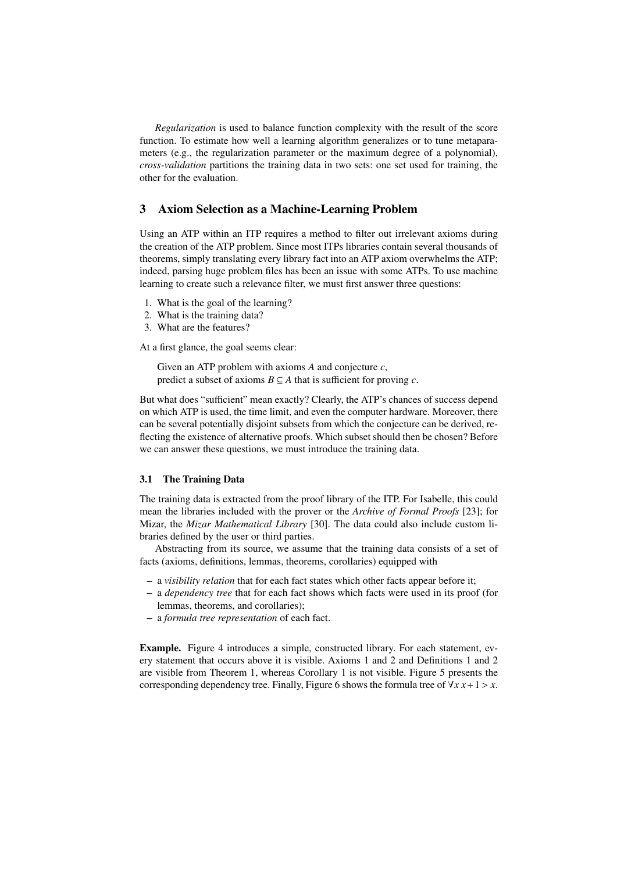*Regularization* is used to balance function complexity with the result of the score function. To estimate how well a learning algorithm generalizes or to tune metaparameters (e.g., the regularization parameter or the maximum degree of a polynomial), *cross-validation* partitions the training data in two sets: one set used for training, the other for the evaluation.

# 3 Axiom Selection as a Machine-Learning Problem

Using an ATP within an ITP requires a method to filter out irrelevant axioms during the creation of the ATP problem. Since most ITPs libraries contain several thousands of theorems, simply translating every library fact into an ATP axiom overwhelms the ATP; indeed, parsing huge problem files has been an issue with some ATPs. To use machine learning to create such a relevance filter, we must first answer three questions:

- 1. What is the goal of the learning?
- 2. What is the training data?
- 3. What are the features?

At a first glance, the goal seems clear:

Given an ATP problem with axioms *A* and conjecture *c*, predict a subset of axioms  $B \subseteq A$  that is sufficient for proving *c*.

But what does "sufficient" mean exactly? Clearly, the ATP's chances of success depend on which ATP is used, the time limit, and even the computer hardware. Moreover, there can be several potentially disjoint subsets from which the conjecture can be derived, reflecting the existence of alternative proofs. Which subset should then be chosen? Before we can answer these questions, we must introduce the training data.

#### <span id="page-5-0"></span>3.1 The Training Data

The training data is extracted from the proof library of the ITP. For Isabelle, this could mean the libraries included with the prover or the *Archive of Formal Proofs* [\[23\]](#page-13-14); for Mizar, the *Mizar Mathematical Library* [\[30\]](#page-13-3). The data could also include custom libraries defined by the user or third parties.

Abstracting from its source, we assume that the training data consists of a set of facts (axioms, definitions, lemmas, theorems, corollaries) equipped with

- a *visibility relation* that for each fact states which other facts appear before it;
- a *dependency tree* that for each fact shows which facts were used in its proof (for lemmas, theorems, and corollaries);
- a *formula tree representation* of each fact.

Example. Figure [4](#page-6-0) introduces a simple, constructed library. For each statement, every statement that occurs above it is visible. Axioms 1 and 2 and Definitions 1 and 2 are visible from Theorem 1, whereas Corollary 1 is not visible. Figure [5](#page-6-1) presents the corresponding dependency tree. Finally, Figure [6](#page-6-2) shows the formula tree of  $\forall x \, x+1 > x$ .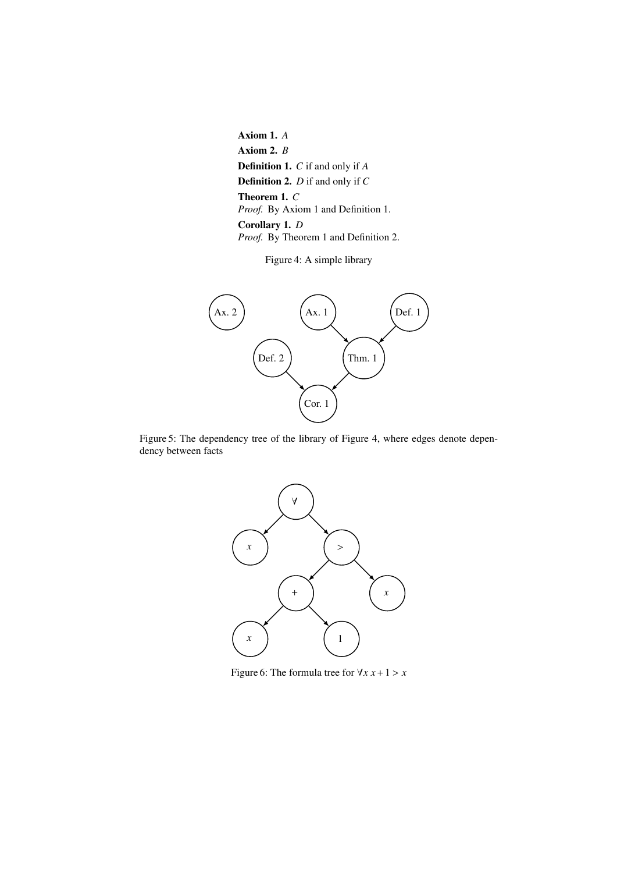<span id="page-6-0"></span>Axiom 1. *A* Axiom 2. *B* Definition 1. *C* if and only if *A* Definition 2. *D* if and only if *C* Theorem 1. *C Proof.* By Axiom 1 and Definition 1. Corollary 1. *D Proof.* By Theorem 1 and Definition 2.

Figure 4: A simple library

<span id="page-6-1"></span>

<span id="page-6-2"></span>Figure 5: The dependency tree of the library of Figure [4,](#page-6-0) where edges denote dependency between facts



Figure 6: The formula tree for  $\forall x \ x + 1 > x$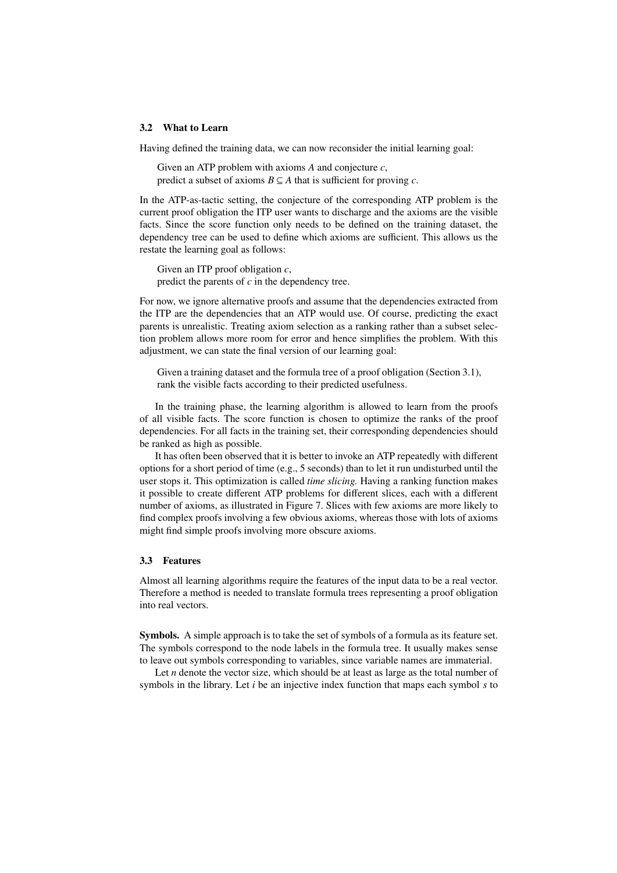#### 3.2 What to Learn

Having defined the training data, we can now reconsider the initial learning goal:

Given an ATP problem with axioms *A* and conjecture *c*, predict a subset of axioms  $B \subseteq A$  that is sufficient for proving *c*.

In the ATP-as-tactic setting, the conjecture of the corresponding ATP problem is the current proof obligation the ITP user wants to discharge and the axioms are the visible facts. Since the score function only needs to be defined on the training dataset, the dependency tree can be used to define which axioms are sufficient. This allows us the restate the learning goal as follows:

Given an ITP proof obligation *c*, predict the parents of *c* in the dependency tree.

For now, we ignore alternative proofs and assume that the dependencies extracted from the ITP are the dependencies that an ATP would use. Of course, predicting the exact parents is unrealistic. Treating axiom selection as a ranking rather than a subset selection problem allows more room for error and hence simplifies the problem. With this adjustment, we can state the final version of our learning goal:

Given a training dataset and the formula tree of a proof obligation (Section [3.1\)](#page-5-0), rank the visible facts according to their predicted usefulness.

In the training phase, the learning algorithm is allowed to learn from the proofs of all visible facts. The score function is chosen to optimize the ranks of the proof dependencies. For all facts in the training set, their corresponding dependencies should be ranked as high as possible.

It has often been observed that it is better to invoke an ATP repeatedly with different options for a short period of time (e.g., 5 seconds) than to let it run undisturbed until the user stops it. This optimization is called *time slicing.* Having a ranking function makes it possible to create different ATP problems for different slices, each with a different number of axioms, as illustrated in Figure [7.](#page-8-0) Slices with few axioms are more likely to find complex proofs involving a few obvious axioms, whereas those with lots of axioms might find simple proofs involving more obscure axioms.

#### <span id="page-7-0"></span>3.3 Features

Almost all learning algorithms require the features of the input data to be a real vector. Therefore a method is needed to translate formula trees representing a proof obligation into real vectors.

Symbols. A simple approach is to take the set of symbols of a formula as its feature set. The symbols correspond to the node labels in the formula tree. It usually makes sense to leave out symbols corresponding to variables, since variable names are immaterial.

Let *n* denote the vector size, which should be at least as large as the total number of symbols in the library. Let *i* be an injective index function that maps each symbol *s* to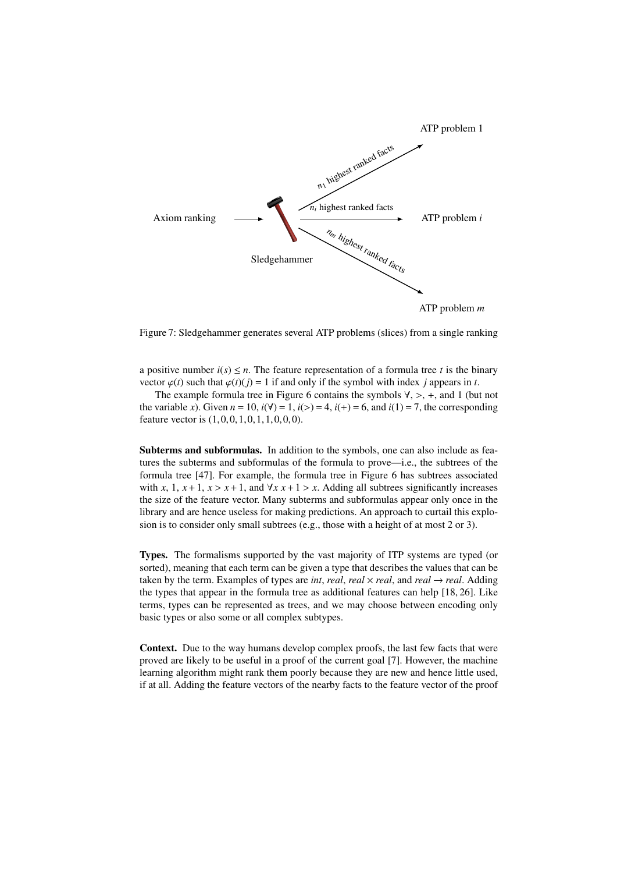<span id="page-8-0"></span>

Figure 7: Sledgehammer generates several ATP problems (slices) from a single ranking

a positive number  $i(s) \leq n$ . The feature representation of a formula tree *t* is the binary vector  $\varphi(t)$  such that  $\varphi(t)(i) = 1$  if and only if the symbol with index *j* appears in *t*.

The example formula tree in Figure [6](#page-6-2) contains the symbols  $\forall$ ,  $>$ ,  $+$ , and 1 (but not the variable *x*). Given  $n = 10$ ,  $i(\forall) = 1$ ,  $i(>) = 4$ ,  $i(+) = 6$ , and  $i(1) = 7$ , the corresponding feature vector is  $(1,0,0,1,0,1,1,0,0,0)$ .

Subterms and subformulas. In addition to the symbols, one can also include as features the subterms and subformulas of the formula to prove—i.e., the subtrees of the formula tree [\[47\]](#page-14-10). For example, the formula tree in Figure [6](#page-6-2) has subtrees associated with *x*, 1,  $x + 1$ ,  $x > x + 1$ , and  $\forall x \cdot x + 1 > x$ . Adding all subtrees significantly increases the size of the feature vector. Many subterms and subformulas appear only once in the library and are hence useless for making predictions. An approach to curtail this explosion is to consider only small subtrees (e.g., those with a height of at most 2 or 3).

Types. The formalisms supported by the vast majority of ITP systems are typed (or sorted), meaning that each term can be given a type that describes the values that can be taken by the term. Examples of types are *int*, *real*, *real*, and *real*  $\rightarrow$  *real*. Adding the types that appear in the formula tree as additional features can help [\[18,](#page-13-15) [26\]](#page-13-7). Like terms, types can be represented as trees, and we may choose between encoding only basic types or also some or all complex subtypes.

Context. Due to the way humans develop complex proofs, the last few facts that were proved are likely to be useful in a proof of the current goal [\[7\]](#page-12-13). However, the machine learning algorithm might rank them poorly because they are new and hence little used, if at all. Adding the feature vectors of the nearby facts to the feature vector of the proof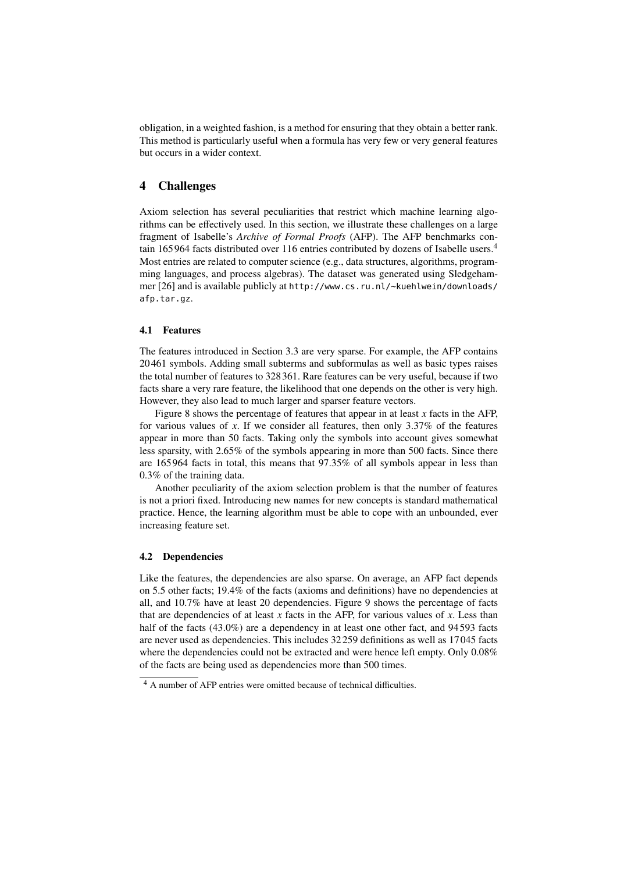obligation, in a weighted fashion, is a method for ensuring that they obtain a better rank. This method is particularly useful when a formula has very few or very general features but occurs in a wider context.

# 4 Challenges

Axiom selection has several peculiarities that restrict which machine learning algorithms can be effectively used. In this section, we illustrate these challenges on a large fragment of Isabelle's *Archive of Formal Proofs* (AFP). The AFP benchmarks contain 165 964 facts distributed over 116 entries contributed by dozens of Isabelle users.[4](#page-9-0) Most entries are related to computer science (e.g., data structures, algorithms, programming languages, and process algebras). The dataset was generated using Sledgehammer [\[26\]](#page-13-7) and is available publicly at [http://www.cs.ru.nl/~kuehlwein/downloads/](http://www.cs.ru.nl/~kuehlwein/downloads/afp.tar.gz) [afp.tar.gz](http://www.cs.ru.nl/~kuehlwein/downloads/afp.tar.gz).

# 4.1 Features

The features introduced in Section [3.3](#page-7-0) are very sparse. For example, the AFP contains 20 461 symbols. Adding small subterms and subformulas as well as basic types raises the total number of features to 328 361. Rare features can be very useful, because if two facts share a very rare feature, the likelihood that one depends on the other is very high. However, they also lead to much larger and sparser feature vectors.

Figure [8](#page-10-0) shows the percentage of features that appear in at least  $x$  facts in the AFP, for various values of *<sup>x</sup>*. If we consider all features, then only 3.37% of the features appear in more than 50 facts. Taking only the symbols into account gives somewhat less sparsity, with 2.65% of the symbols appearing in more than 500 facts. Since there are 165 964 facts in total, this means that 97.35% of all symbols appear in less than <sup>0</sup>.3% of the training data.

Another peculiarity of the axiom selection problem is that the number of features is not a priori fixed. Introducing new names for new concepts is standard mathematical practice. Hence, the learning algorithm must be able to cope with an unbounded, ever increasing feature set.

#### 4.2 Dependencies

Like the features, the dependencies are also sparse. On average, an AFP fact depends on 5.5 other facts; 19.4% of the facts (axioms and definitions) have no dependencies at all, and 10.7% have at least 20 dependencies. Figure [9](#page-11-0) shows the percentage of facts that are dependencies of at least  $x$  facts in the AFP, for various values of  $x$ . Less than half of the facts (43.0%) are a dependency in at least one other fact, and 94593 facts are never used as dependencies. This includes 32 259 definitions as well as 17 045 facts where the dependencies could not be extracted and were hence left empty. Only 0.08% of the facts are being used as dependencies more than 500 times.

<span id="page-9-0"></span><sup>4</sup> A number of AFP entries were omitted because of technical difficulties.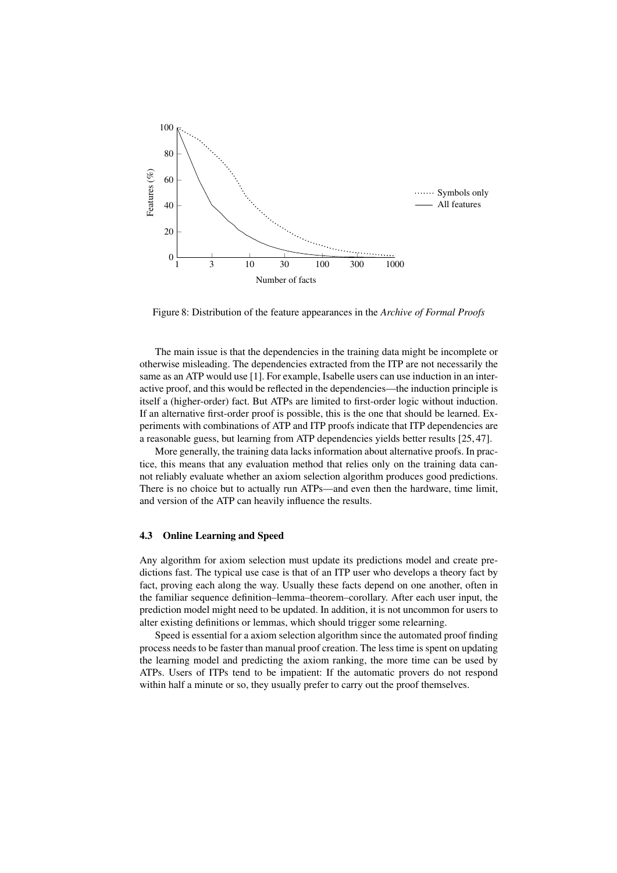<span id="page-10-0"></span>

Figure 8: Distribution of the feature appearances in the *Archive of Formal Proofs*

The main issue is that the dependencies in the training data might be incomplete or otherwise misleading. The dependencies extracted from the ITP are not necessarily the same as an ATP would use [\[1\]](#page-12-14). For example, Isabelle users can use induction in an interactive proof, and this would be reflected in the dependencies—the induction principle is itself a (higher-order) fact. But ATPs are limited to first-order logic without induction. If an alternative first-order proof is possible, this is the one that should be learned. Experiments with combinations of ATP and ITP proofs indicate that ITP dependencies are a reasonable guess, but learning from ATP dependencies yields better results [\[25,](#page-13-16) [47\]](#page-14-10).

More generally, the training data lacks information about alternative proofs. In practice, this means that any evaluation method that relies only on the training data cannot reliably evaluate whether an axiom selection algorithm produces good predictions. There is no choice but to actually run ATPs—and even then the hardware, time limit, and version of the ATP can heavily influence the results.

#### 4.3 Online Learning and Speed

Any algorithm for axiom selection must update its predictions model and create predictions fast. The typical use case is that of an ITP user who develops a theory fact by fact, proving each along the way. Usually these facts depend on one another, often in the familiar sequence definition–lemma–theorem–corollary. After each user input, the prediction model might need to be updated. In addition, it is not uncommon for users to alter existing definitions or lemmas, which should trigger some relearning.

Speed is essential for a axiom selection algorithm since the automated proof finding process needs to be faster than manual proof creation. The less time is spent on updating the learning model and predicting the axiom ranking, the more time can be used by ATPs. Users of ITPs tend to be impatient: If the automatic provers do not respond within half a minute or so, they usually prefer to carry out the proof themselves.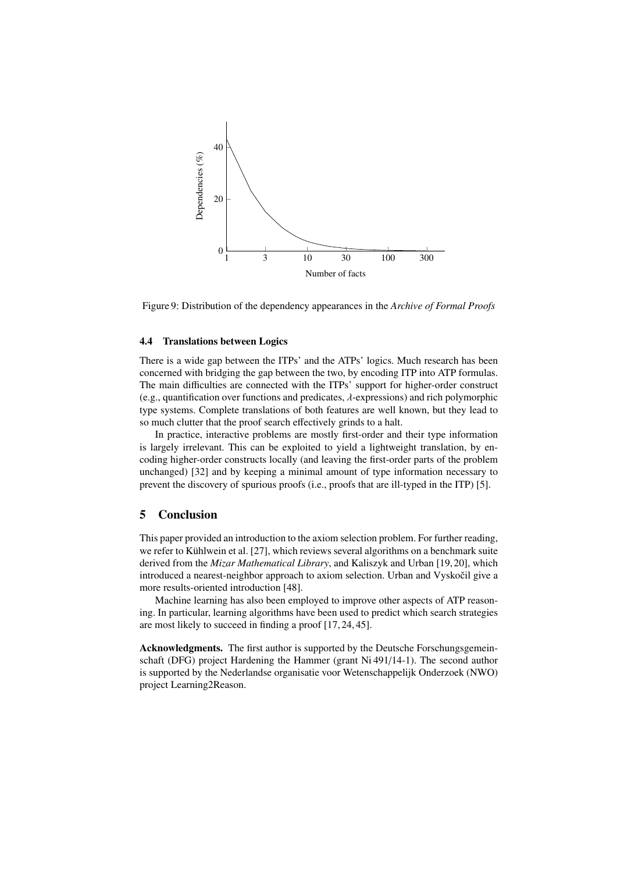<span id="page-11-0"></span>

Figure 9: Distribution of the dependency appearances in the *Archive of Formal Proofs*

#### 4.4 Translations between Logics

There is a wide gap between the ITPs' and the ATPs' logics. Much research has been concerned with bridging the gap between the two, by encoding ITP into ATP formulas. The main difficulties are connected with the ITPs' support for higher-order construct (e.g., quantification over functions and predicates,  $\lambda$ -expressions) and rich polymorphic type systems. Complete translations of both features are well known, but they lead to so much clutter that the proof search effectively grinds to a halt.

In practice, interactive problems are mostly first-order and their type information is largely irrelevant. This can be exploited to yield a lightweight translation, by encoding higher-order constructs locally (and leaving the first-order parts of the problem unchanged) [\[32\]](#page-13-17) and by keeping a minimal amount of type information necessary to prevent the discovery of spurious proofs (i.e., proofs that are ill-typed in the ITP) [\[5\]](#page-12-15).

### 5 Conclusion

This paper provided an introduction to the axiom selection problem. For further reading, we refer to Kühlwein et al. [\[27\]](#page-13-18), which reviews several algorithms on a benchmark suite derived from the *Mizar Mathematical Library*, and Kaliszyk and Urban [\[19,](#page-13-6) [20\]](#page-13-19), which introduced a nearest-neighbor approach to axiom selection. Urban and Vyskocil give a more results-oriented introduction [\[48\]](#page-14-11).

Machine learning has also been employed to improve other aspects of ATP reasoning. In particular, learning algorithms have been used to predict which search strategies are most likely to succeed in finding a proof [\[17,](#page-12-16) [24,](#page-13-20) [45\]](#page-14-12).

Acknowledgments. The first author is supported by the Deutsche Forschungsgemeinschaft (DFG) project Hardening the Hammer (grant Ni 491/14-1). The second author is supported by the Nederlandse organisatie voor Wetenschappelijk Onderzoek (NWO) project Learning2Reason.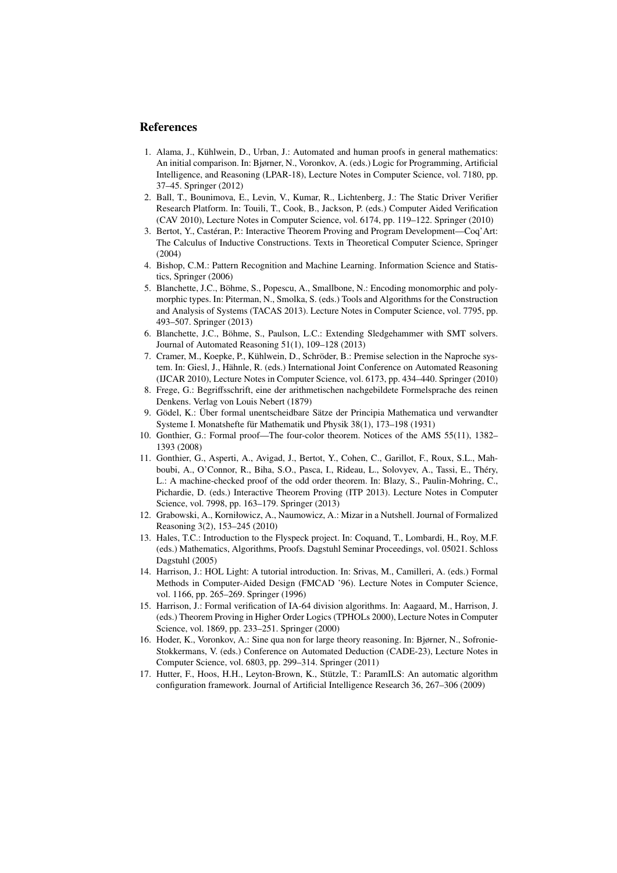# References

- <span id="page-12-14"></span>1. Alama, J., Kühlwein, D., Urban, J.: Automated and human proofs in general mathematics: An initial comparison. In: Bjørner, N., Voronkov, A. (eds.) Logic for Programming, Artificial Intelligence, and Reasoning (LPAR-18), Lecture Notes in Computer Science, vol. 7180, pp. 37–45. Springer (2012)
- <span id="page-12-10"></span>2. Ball, T., Bounimova, E., Levin, V., Kumar, R., Lichtenberg, J.: The Static Driver Verifier Research Platform. In: Touili, T., Cook, B., Jackson, P. (eds.) Computer Aided Verification (CAV 2010), Lecture Notes in Computer Science, vol. 6174, pp. 119–122. Springer (2010)
- <span id="page-12-2"></span>3. Bertot, Y., Castéran, P.: Interactive Theorem Proving and Program Development—Coq'Art: The Calculus of Inductive Constructions. Texts in Theoretical Computer Science, Springer (2004)
- <span id="page-12-12"></span>4. Bishop, C.M.: Pattern Recognition and Machine Learning. Information Science and Statistics, Springer (2006)
- <span id="page-12-15"></span>5. Blanchette, J.C., Böhme, S., Popescu, A., Smallbone, N.: Encoding monomorphic and polymorphic types. In: Piterman, N., Smolka, S. (eds.) Tools and Algorithms for the Construction and Analysis of Systems (TACAS 2013). Lecture Notes in Computer Science, vol. 7795, pp. 493–507. Springer (2013)
- <span id="page-12-8"></span>6. Blanchette, J.C., Böhme, S., Paulson, L.C.: Extending Sledgehammer with SMT solvers. Journal of Automated Reasoning 51(1), 109–128 (2013)
- <span id="page-12-13"></span>7. Cramer, M., Koepke, P., Kühlwein, D., Schröder, B.: Premise selection in the Naproche system. In: Giesl, J., Hähnle, R. (eds.) International Joint Conference on Automated Reasoning (IJCAR 2010), Lecture Notes in Computer Science, vol. 6173, pp. 434–440. Springer (2010)
- <span id="page-12-0"></span>8. Frege, G.: Begriffsschrift, eine der arithmetischen nachgebildete Formelsprache des reinen Denkens. Verlag von Louis Nebert (1879)
- <span id="page-12-1"></span>9. Gödel, K.: Über formal unentscheidbare Sätze der Principia Mathematica und verwandter Systeme I. Monatshefte für Mathematik und Physik 38(1), 173–198 (1931)
- <span id="page-12-6"></span>10. Gonthier, G.: Formal proof—The four-color theorem. Notices of the AMS 55(11), 1382– 1393 (2008)
- <span id="page-12-7"></span>11. Gonthier, G., Asperti, A., Avigad, J., Bertot, Y., Cohen, C., Garillot, F., Roux, S.L., Mahboubi, A., O'Connor, R., Biha, S.O., Pasca, I., Rideau, L., Solovyev, A., Tassi, E., Théry, L.: A machine-checked proof of the odd order theorem. In: Blazy, S., Paulin-Mohring, C., Pichardie, D. (eds.) Interactive Theorem Proving (ITP 2013). Lecture Notes in Computer Science, vol. 7998, pp. 163–179. Springer (2013)
- <span id="page-12-4"></span>12. Grabowski, A., Korniłowicz, A., Naumowicz, A.: Mizar in a Nutshell. Journal of Formalized Reasoning 3(2), 153–245 (2010)
- <span id="page-12-5"></span>13. Hales, T.C.: Introduction to the Flyspeck project. In: Coquand, T., Lombardi, H., Roy, M.F. (eds.) Mathematics, Algorithms, Proofs. Dagstuhl Seminar Proceedings, vol. 05021. Schloss Dagstuhl (2005)
- <span id="page-12-3"></span>14. Harrison, J.: HOL Light: A tutorial introduction. In: Srivas, M., Camilleri, A. (eds.) Formal Methods in Computer-Aided Design (FMCAD '96). Lecture Notes in Computer Science, vol. 1166, pp. 265–269. Springer (1996)
- <span id="page-12-9"></span>15. Harrison, J.: Formal verification of IA-64 division algorithms. In: Aagaard, M., Harrison, J. (eds.) Theorem Proving in Higher Order Logics (TPHOLs 2000), Lecture Notes in Computer Science, vol. 1869, pp. 233–251. Springer (2000)
- <span id="page-12-11"></span>16. Hoder, K., Voronkov, A.: Sine qua non for large theory reasoning. In: Bjørner, N., Sofronie-Stokkermans, V. (eds.) Conference on Automated Deduction (CADE-23), Lecture Notes in Computer Science, vol. 6803, pp. 299–314. Springer (2011)
- <span id="page-12-16"></span>17. Hutter, F., Hoos, H.H., Leyton-Brown, K., Stützle, T.: ParamILS: An automatic algorithm configuration framework. Journal of Artificial Intelligence Research 36, 267–306 (2009)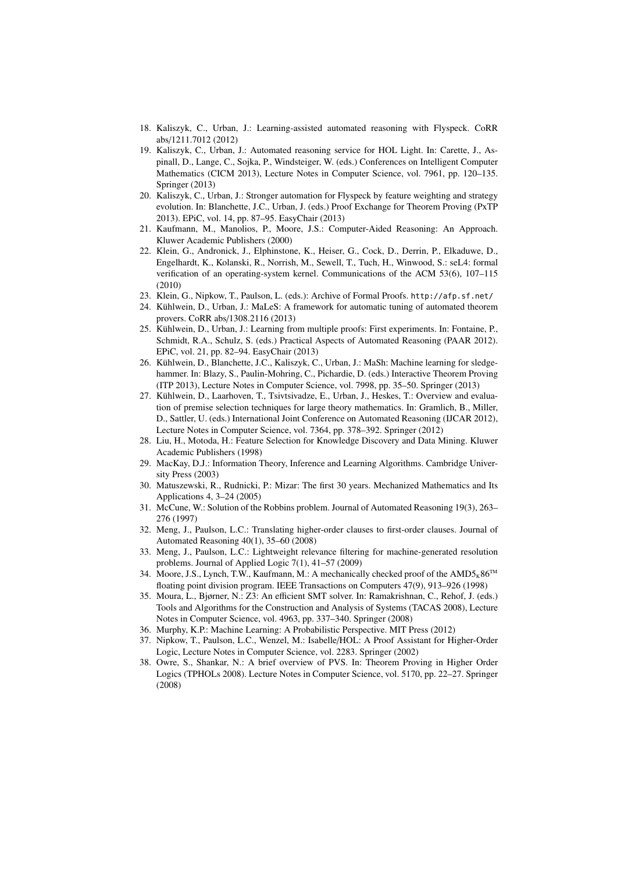- <span id="page-13-15"></span>18. Kaliszyk, C., Urban, J.: Learning-assisted automated reasoning with Flyspeck. CoRR abs/1211.7012 (2012)
- <span id="page-13-6"></span>19. Kaliszyk, C., Urban, J.: Automated reasoning service for HOL Light. In: Carette, J., Aspinall, D., Lange, C., Sojka, P., Windsteiger, W. (eds.) Conferences on Intelligent Computer Mathematics (CICM 2013), Lecture Notes in Computer Science, vol. 7961, pp. 120–135. Springer (2013)
- <span id="page-13-19"></span>20. Kaliszyk, C., Urban, J.: Stronger automation for Flyspeck by feature weighting and strategy evolution. In: Blanchette, J.C., Urban, J. (eds.) Proof Exchange for Theorem Proving (PxTP 2013). EPiC, vol. 14, pp. 87–95. EasyChair (2013)
- <span id="page-13-0"></span>21. Kaufmann, M., Manolios, P., Moore, J.S.: Computer-Aided Reasoning: An Approach. Kluwer Academic Publishers (2000)
- <span id="page-13-9"></span>22. Klein, G., Andronick, J., Elphinstone, K., Heiser, G., Cock, D., Derrin, P., Elkaduwe, D., Engelhardt, K., Kolanski, R., Norrish, M., Sewell, T., Tuch, H., Winwood, S.: seL4: formal verification of an operating-system kernel. Communications of the ACM 53(6), 107–115 (2010)
- <span id="page-13-14"></span>23. Klein, G., Nipkow, T., Paulson, L. (eds.): Archive of Formal Proofs. <http://afp.sf.net/>
- <span id="page-13-20"></span>24. Kühlwein, D., Urban, J.: MaLeS: A framework for automatic tuning of automated theorem provers. CoRR abs/1308.2116 (2013)
- <span id="page-13-16"></span>25. Kühlwein, D., Urban, J.: Learning from multiple proofs: First experiments. In: Fontaine, P., Schmidt, R.A., Schulz, S. (eds.) Practical Aspects of Automated Reasoning (PAAR 2012). EPiC, vol. 21, pp. 82–94. EasyChair (2013)
- <span id="page-13-7"></span>26. Kühlwein, D., Blanchette, J.C., Kaliszyk, C., Urban, J.: MaSh: Machine learning for sledgehammer. In: Blazy, S., Paulin-Mohring, C., Pichardie, D. (eds.) Interactive Theorem Proving (ITP 2013), Lecture Notes in Computer Science, vol. 7998, pp. 35–50. Springer (2013)
- <span id="page-13-18"></span>27. Kühlwein, D., Laarhoven, T., Tsivtsivadze, E., Urban, J., Heskes, T.: Overview and evaluation of premise selection techniques for large theory mathematics. In: Gramlich, B., Miller, D., Sattler, U. (eds.) International Joint Conference on Automated Reasoning (IJCAR 2012), Lecture Notes in Computer Science, vol. 7364, pp. 378–392. Springer (2012)
- <span id="page-13-13"></span>28. Liu, H., Motoda, H.: Feature Selection for Knowledge Discovery and Data Mining. Kluwer Academic Publishers (1998)
- <span id="page-13-11"></span>29. MacKay, D.J.: Information Theory, Inference and Learning Algorithms. Cambridge University Press (2003)
- <span id="page-13-3"></span>30. Matuszewski, R., Rudnicki, P.: Mizar: The first 30 years. Mechanized Mathematics and Its Applications 4, 3–24 (2005)
- <span id="page-13-5"></span>31. McCune, W.: Solution of the Robbins problem. Journal of Automated Reasoning 19(3), 263– 276 (1997)
- <span id="page-13-17"></span>32. Meng, J., Paulson, L.C.: Translating higher-order clauses to first-order clauses. Journal of Automated Reasoning 40(1), 35–60 (2008)
- <span id="page-13-10"></span>33. Meng, J., Paulson, L.C.: Lightweight relevance filtering for machine-generated resolution problems. Journal of Applied Logic 7(1), 41–57 (2009)
- <span id="page-13-8"></span>34. Moore, J.S., Lynch, T.W., Kaufmann, M.: A mechanically checked proof of the  $\text{AMD5}_K86^{TM}$ floating point division program. IEEE Transactions on Computers 47(9), 913–926 (1998)
- <span id="page-13-4"></span>35. Moura, L., Bjørner, N.: Z3: An efficient SMT solver. In: Ramakrishnan, C., Rehof, J. (eds.) Tools and Algorithms for the Construction and Analysis of Systems (TACAS 2008), Lecture Notes in Computer Science, vol. 4963, pp. 337–340. Springer (2008)
- <span id="page-13-12"></span>36. Murphy, K.P.: Machine Learning: A Probabilistic Perspective. MIT Press (2012)
- <span id="page-13-1"></span>37. Nipkow, T., Paulson, L.C., Wenzel, M.: Isabelle/HOL: A Proof Assistant for Higher-Order Logic, Lecture Notes in Computer Science, vol. 2283. Springer (2002)
- <span id="page-13-2"></span>38. Owre, S., Shankar, N.: A brief overview of PVS. In: Theorem Proving in Higher Order Logics (TPHOLs 2008). Lecture Notes in Computer Science, vol. 5170, pp. 22–27. Springer (2008)